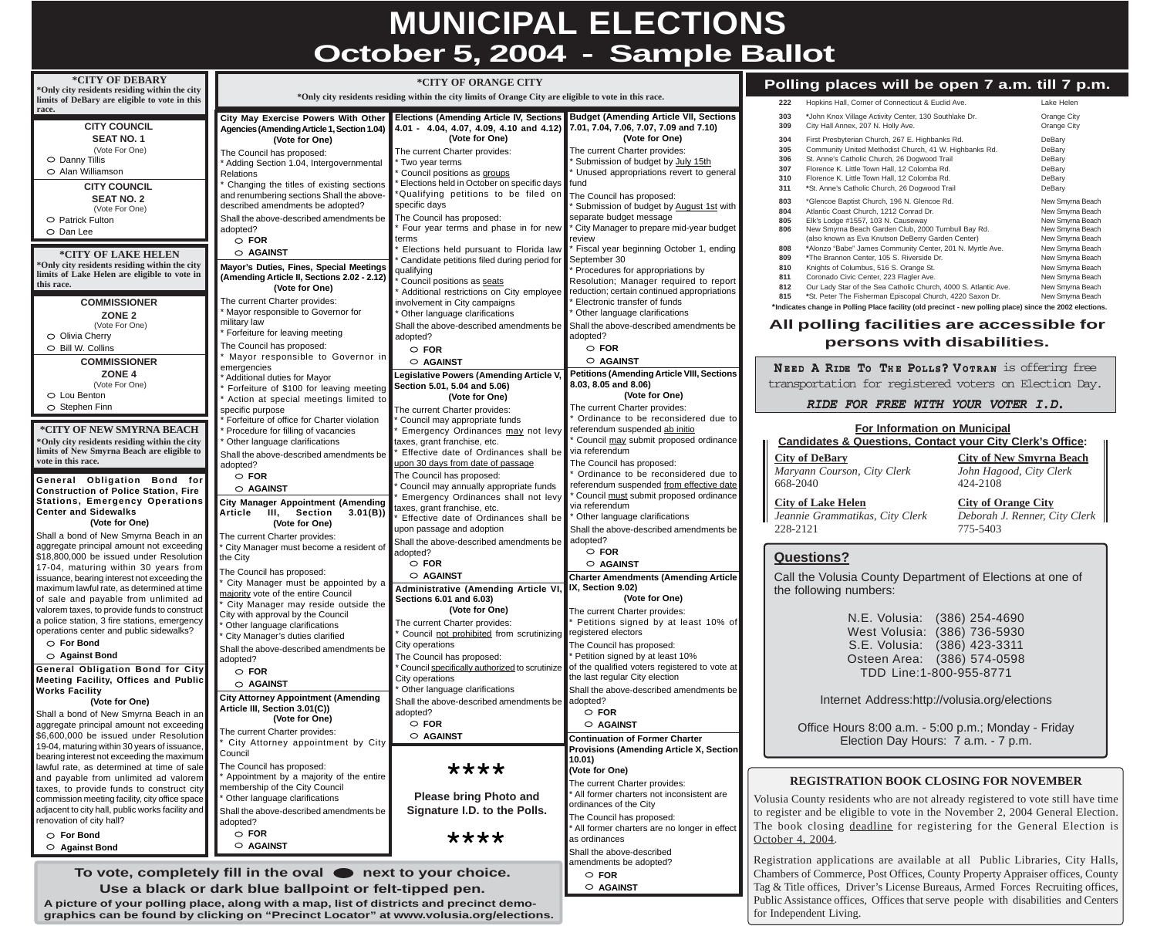## **MUNICIPAL ELECTIONS October 5, 2004 - Sample Ballot**

| *CITY OF DEBARY                                                                                | *CITY OF ORANGE CITY                                                                                   |                                                                                                                                   |                                                                                  | Polling places will be open 7 a.m. till 7 p.m.                                                                                                                                     |
|------------------------------------------------------------------------------------------------|--------------------------------------------------------------------------------------------------------|-----------------------------------------------------------------------------------------------------------------------------------|----------------------------------------------------------------------------------|------------------------------------------------------------------------------------------------------------------------------------------------------------------------------------|
| *Only city residents residing within the city<br>limits of DeBary are eligible to vote in this | *Only city residents residing within the city limits of Orange City are eligible to vote in this race. |                                                                                                                                   | Hopkins Hall, Corner of Connecticut & Euclid Ave.<br>Lake Helen<br>222           |                                                                                                                                                                                    |
| race.<br><b>CITY COUNCIL</b>                                                                   | <b>City May Exercise Powers With Other</b><br>Agencies (Amending Article 1, Section 1.04)              | <b>Elections (Amending Article IV, Sections</b><br>4.01 - 4.04, 4.07, 4.09, 4.10 and 4.12) 7.01, 7.04, 7.06, 7.07, 7.09 and 7.10) | <b>Budget (Amending Article VII, Sections</b>                                    | *John Knox Village Activity Center, 130 Southlake Dr.<br>Orange City<br>303<br>309<br>City Hall Annex, 207 N. Holly Ave.<br><b>Orange City</b>                                     |
| <b>SEAT NO. 1</b>                                                                              | (Vote for One)                                                                                         | (Vote for One)                                                                                                                    | (Vote for One)                                                                   | 304<br>First Presbyterian Church, 267 E. Highbanks Rd.<br>DeBary<br>Community United Methodist Church, 41 W. Highbanks Rd.<br>305<br>DeBary                                        |
| (Vote For One)<br>$\circ$ Danny Tillis                                                         | The Council has proposed:<br>Adding Section 1.04, Intergovernmental                                    | The current Charter provides:<br>* Two year terms                                                                                 | The current Charter provides:<br>Submission of budget by July 15th               | St. Anne's Catholic Church, 26 Dogwood Trail<br>306<br>DeBary                                                                                                                      |
| ○ Alan Williamson                                                                              | <b>Relations</b>                                                                                       | Council positions as groups                                                                                                       | Unused appropriations revert to general                                          | Florence K. Little Town Hall, 12 Colomba Rd.<br>307<br>DeBary<br>Florence K. Little Town Hall, 12 Colomba Rd.<br>310<br>DeBary                                                     |
| <b>CITY COUNCIL</b>                                                                            | Changing the titles of existing sections                                                               | Elections held in October on specific days fund                                                                                   |                                                                                  | 311<br>*St. Anne's Catholic Church, 26 Dogwood Trail<br>DeBary                                                                                                                     |
| <b>SEAT NO. 2</b>                                                                              | and renumbering sections Shall the above-<br>described amendments be adopted?                          | *Qualifying petitions to be filed on<br>specific days                                                                             | The Council has proposed:<br>Submission of budget by August 1st with             | *Glencoe Baptist Church, 196 N. Glencoe Rd.<br>803<br>New Smyrna Beach                                                                                                             |
| (Vote For One)<br>$\circ$ Patrick Fulton                                                       | Shall the above-described amendments be                                                                | The Council has proposed:                                                                                                         | separate budget message                                                          | Atlantic Coast Church, 1212 Conrad Dr.<br>804<br>New Smyrna Beach<br>New Smyrna Beach<br>805<br>Elk's Lodge #1557, 103 N. Causeway                                                 |
| $\circ$ Dan Lee                                                                                | adopted?                                                                                               | Four year terms and phase in for new                                                                                              | City Manager to prepare mid-year budget                                          | New Smyrna Beach Garden Club, 2000 Turnbull Bay Rd.<br>New Smyrna Beach<br>806                                                                                                     |
|                                                                                                | $\circ$ FOR<br>○ AGAINST                                                                               | terms<br>Elections held pursuant to Florida law                                                                                   | review<br>Fiscal year beginning October 1, ending                                | (also known as Eva Knutson DeBerry Garden Center)<br>New Smyrna Beach<br>808<br>*Alonzo "Babe" James Community Center, 201 N. Myrtle Ave.<br>New Smyrna Beach                      |
| *CITY OF LAKE HELEN<br>*Only city residents residing within the city                           | Mayor's Duties, Fines, Special Meetings                                                                | Candidate petitions filed during period for September 30                                                                          |                                                                                  | *The Brannon Center, 105 S. Riverside Dr.<br>New Smyrna Beach<br>809<br>New Smyrna Beach<br>Knights of Columbus, 516 S. Orange St.<br>810                                          |
| limits of Lake Helen are eligible to vote in                                                   | (Amending Article II, Sections 2.02 - 2.12)                                                            | qualifying<br>Council positions as seats                                                                                          | Procedures for appropriations by<br>Resolution; Manager required to report       | Coronado Civic Center, 223 Flagler Ave.<br>New Smyrna Beach<br>811                                                                                                                 |
| this race.                                                                                     | (Vote for One)                                                                                         | Additional restrictions on City employee                                                                                          | reduction; certain continued appropriations                                      | Our Lady Star of the Sea Catholic Church, 4000 S. Atlantic Ave.<br>New Smyrna Beach<br>812<br>*St. Peter The Fisherman Episcopal Church, 4220 Saxon Dr.<br>New Smyrna Beach<br>815 |
| <b>COMMISSIONER</b>                                                                            | The current Charter provides:<br>Mayor responsible to Governor for                                     | involvement in City campaigns                                                                                                     | Electronic transfer of funds<br>Other language clarifications                    | *Indicates change in Polling Place facility (old precinct - new polling place) since the 2002 elections.                                                                           |
| ZONE <sub>2</sub><br>(Vote For One)                                                            | military law                                                                                           | Other language clarifications<br>Shall the above-described amendments be                                                          | Shall the above-described amendments be                                          | All polling facilities are accessible for                                                                                                                                          |
| $\circ$ Olivia Cherry                                                                          | Forfeiture for leaving meeting                                                                         | adopted?                                                                                                                          | adopted?                                                                         |                                                                                                                                                                                    |
| $\circ$ Bill W. Collins                                                                        | The Council has proposed:<br>Mayor responsible to Governor in                                          | $\circ$ FOR                                                                                                                       | $\circ$ FOR                                                                      | persons with disabilities.                                                                                                                                                         |
| <b>COMMISSIONER</b>                                                                            | emergencies                                                                                            | ○ AGAINST                                                                                                                         | ○ AGAINST                                                                        | NEED A RIDE TO THE POLLS? VOTRAN IS Offering free                                                                                                                                  |
| <b>ZONE 4</b><br>(Vote For One)                                                                | Additional duties for Mayor                                                                            | <b>Legislative Powers (Amending Article V</b><br>Section 5.01, 5.04 and 5.06)                                                     | <b>Petitions (Amending Article VIII, Sections</b><br>8.03, 8.05 and 8.06)        | transportation for registered voters on Election Day.                                                                                                                              |
| $\circ$ Lou Benton                                                                             | Forfeiture of \$100 for leaving meeting<br>Action at special meetings limited to                       | (Vote for One)                                                                                                                    | (Vote for One)                                                                   |                                                                                                                                                                                    |
| $\circ$ Stephen Finn                                                                           | specific purpose                                                                                       | The current Charter provides:                                                                                                     | The current Charter provides:                                                    | RIDE FOR FREE WITH YOUR VOTER I.D.                                                                                                                                                 |
| *CITY OF NEW SMYRNA BEACH                                                                      | Forfeiture of office for Charter violation<br>Procedure for filling of vacancies                       | * Council may appropriate funds<br>Emergency Ordinances may not levy                                                              | Ordinance to be reconsidered due to<br>referendum suspended ab initio            | <b>For Information on Municipal</b>                                                                                                                                                |
| *Only city residents residing within the city                                                  | Other language clarifications                                                                          | taxes, grant franchise, etc.                                                                                                      | Council may submit proposed ordinance                                            | <b>Candidates &amp; Questions, Contact your City Clerk's Office:</b>                                                                                                               |
| limits of New Smyrna Beach are eligible to<br>vote in this race.                               | Shall the above-described amendments be                                                                | Effective date of Ordinances shall be                                                                                             | via referendum                                                                   | <b>City of New Smyrna Beach</b><br><b>City of DeBary</b>                                                                                                                           |
|                                                                                                | adopted?<br>$\circ$ FOR                                                                                | upon 30 days from date of passage<br>The Council has proposed:                                                                    | The Council has proposed:<br>Ordinance to be reconsidered due to                 | Maryann Courson, City Clerk<br>John Hagood, City Clerk                                                                                                                             |
| General Obligation Bond for<br><b>Construction of Police Station, Fire</b>                     | ○ AGAINST                                                                                              | * Council may annually appropriate funds                                                                                          | referendum suspended from effective date                                         | 424-2108<br>668-2040                                                                                                                                                               |
| Stations, Emergency Operations                                                                 | <b>City Manager Appointment (Amending</b>                                                              | Emergency Ordinances shall not levy                                                                                               | Council must submit proposed ordinance<br>via referendum                         | <b>City of Orange City</b><br><b>City of Lake Helen</b>                                                                                                                            |
| <b>Center and Sidewalks</b>                                                                    | 3.01(B)<br><b>Article</b><br>III, Section                                                              | taxes, grant franchise, etc.<br>Effective date of Ordinances shall be                                                             | Other language clarifications                                                    | Deborah J. Renner, City Clerk<br>Jeannie Grammatikas, City Clerk                                                                                                                   |
| (Vote for One)<br>Shall a bond of New Smyrna Beach in an                                       | (Vote for One)                                                                                         | upon passage and adoption                                                                                                         | Shall the above-described amendments be                                          | 228-2121<br>775-5403                                                                                                                                                               |
| aggregate principal amount not exceeding                                                       | The current Charter provides:<br>City Manager must become a resident of                                | Shall the above-described amendments be adopted?                                                                                  |                                                                                  |                                                                                                                                                                                    |
| \$18,800,000 be issued under Resolution                                                        | $\blacksquare$ the City                                                                                | adopted?<br>$\circ$ FOR                                                                                                           | $\circ$ FOR<br>○ AGAINST                                                         | <b>Questions?</b>                                                                                                                                                                  |
| 17-04, maturing within 30 years from<br>issuance, bearing interest not exceeding the           | The Council has proposed:                                                                              | $\circ$ AGAINST                                                                                                                   | <b>Charter Amendments (Amending Article</b>                                      | Call the Volusia County Department of Elections at one of                                                                                                                          |
| maximum lawful rate, as determined at time                                                     | City Manager must be appointed by a<br>majority vote of the entire Council                             | Administrative (Amending Article VI,                                                                                              | $\blacksquare$ IX, Section 9.02)                                                 | the following numbers:                                                                                                                                                             |
| of sale and payable from unlimited ad<br>valorem taxes, to provide funds to construct          | City Manager may reside outside the                                                                    | Sections 6.01 and 6.03)<br>(Vote for One)                                                                                         | (Vote for One)                                                                   |                                                                                                                                                                                    |
| a police station, 3 fire stations, emergency                                                   | City with approval by the Council<br>Other language clarifications                                     | The current Charter provides:                                                                                                     | The current Charter provides:<br>Petitions signed by at least 10% of             | $(386)$ 254-4690<br>N.E. Volusia:                                                                                                                                                  |
| operations center and public sidewalks?                                                        | City Manager's duties clarified                                                                        | Council not prohibited from scrutinizing registered electors                                                                      |                                                                                  | West Volusia: (386) 736-5930                                                                                                                                                       |
| $\circ$ For Bond<br>$\circ$ Against Bond                                                       | Shall the above-described amendments be                                                                | City operations                                                                                                                   | The Council has proposed:                                                        | S.E. Volusia: (386) 423-3311                                                                                                                                                       |
| <b>General Obligation Bond for City</b>                                                        | adopted?<br>$\circ$ FOR                                                                                | The Council has proposed:<br>* Council specifically authorized to scrutinize                                                      | Petition signed by at least 10%<br>of the qualified voters registered to vote at | Osteen Area: (386) 574-0598                                                                                                                                                        |
| Meeting Facility, Offices and Public                                                           | O AGAINST                                                                                              | City operations                                                                                                                   | the last regular City election                                                   | TDD Line:1-800-955-8771                                                                                                                                                            |
| Works Facility                                                                                 | <b>City Attorney Appointment (Amending</b>                                                             | * Other language clarifications                                                                                                   | Shall the above-described amendments be                                          | Internet Address: http://volusia.org/elections                                                                                                                                     |
| (Vote for One)<br>Shall a bond of New Smyrna Beach in an                                       | Article III, Section 3.01(C))                                                                          | Shall the above-described amendments be adopted?<br>adopted?                                                                      | $\circ$ FOR                                                                      |                                                                                                                                                                                    |
| aggregate principal amount not exceeding                                                       | (Vote for One)                                                                                         | $\circ$ FOR                                                                                                                       | ○ AGAINST                                                                        | Office Hours 8:00 a.m. - 5:00 p.m.; Monday - Friday                                                                                                                                |
| \$6,600,000 be issued under Resolution                                                         | The current Charter provides:<br>City Attorney appointment by City                                     | ○ AGAINST                                                                                                                         | <b>Continuation of Former Charter</b>                                            | Election Day Hours: 7 a.m. - 7 p.m.                                                                                                                                                |
| 19-04, maturing within 30 years of issuance,<br>bearing interest not exceeding the maximum     | Council                                                                                                |                                                                                                                                   | <b>Provisions (Amending Article X, Section</b><br>10.01)                         |                                                                                                                                                                                    |
| lawful rate, as determined at time of sale                                                     | The Council has proposed:                                                                              | ****                                                                                                                              | (Vote for One)                                                                   |                                                                                                                                                                                    |
| and payable from unlimited ad valorem<br>taxes, to provide funds to construct city             | Appointment by a majority of the entire<br>membership of the City Council                              |                                                                                                                                   | The current Charter provides:                                                    | <b>REGISTRATION BOOK CLOSING FOR NOVEMBER</b>                                                                                                                                      |
| commission meeting facility, city office space                                                 | Other language clarifications                                                                          | <b>Please bring Photo and</b>                                                                                                     | All former charters not inconsistent are<br>ordinances of the City               | Volusia County residents who are not already registered to vote still have time                                                                                                    |
| adjacent to city hall, public works facility and<br>renovation of city hall?                   | Shall the above-described amendments be                                                                | Signature I.D. to the Polls.                                                                                                      | The Council has proposed:                                                        | to register and be eligible to vote in the November 2, 2004 General Election.                                                                                                      |
| $\circ$ For Bond                                                                               | adopted?<br><b>FOR</b><br>O                                                                            |                                                                                                                                   | All former charters are no longer in effect                                      | The book closing deadline for registering for the General Election is                                                                                                              |
| $\circ$ Against Bond                                                                           | O AGAINST                                                                                              | ****                                                                                                                              | as ordinances                                                                    | October 4, 2004.                                                                                                                                                                   |
|                                                                                                |                                                                                                        |                                                                                                                                   | Shall the above-described<br>amendments be adopted?                              | Registration applications are available at all Public Libraries, City Halls,                                                                                                       |
| To vote, completely fill in the oval $\bullet$ next to your choice.                            |                                                                                                        |                                                                                                                                   | $\circ$ FOR                                                                      | Chambers of Commerce, Post Offices, County Property Appraiser offices, County                                                                                                      |
| Use a black or dark blue ballpoint or felt-tipped pen.                                         |                                                                                                        |                                                                                                                                   | $\circ$ AGAINST                                                                  | Tag & Title offices, Driver's License Bureaus, Armed Forces Recruiting offices,                                                                                                    |

**A picture of your polling place, along with a map, list of districts and precinct demographics can be found by clicking on "Precinct Locator" at www.volusia.org/elections.** Public Assistance offices, Offices that serve people with disabilities and Centers for Independent Living.